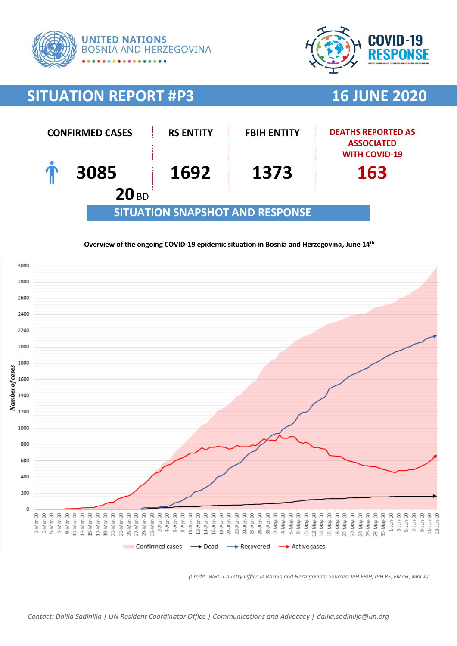



# **SITUATION REPORT #P3 16 JUNE 2020**



### **Overview of the ongoing COVID-19 epidemic situation in Bosnia and Herzegovina, June 14th**



*(Credit: WHO Country Office in Bosnia and Herzegovina; Sources: IPH FBiH, IPH RS, FMoH, MoCA)*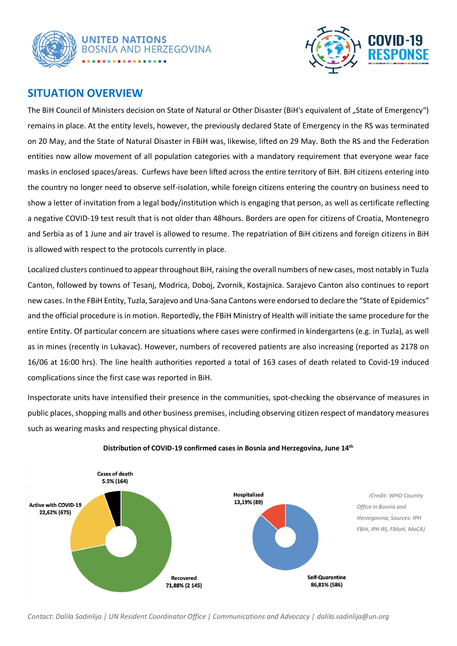



# **SITUATION OVERVIEW**

The BiH Council of Ministers decision on State of Natural or Other Disaster (BiH's equivalent of "State of Emergency") remains in place. At the entity levels, however, the previously declared State of Emergency in the RS was terminated on 20 May, and the State of Natural Disaster in FBiH was, likewise, lifted on 29 May. Both the RS and the Federation entities now allow movement of all population categories with a mandatory requirement that everyone wear face masks in enclosed spaces/areas. Curfews have been lifted across the entire territory of BiH. BiH citizens entering into the country no longer need to observe self-isolation, while foreign citizens entering the country on business need to show a letter of invitation from a legal body/institution which is engaging that person, as well as certificate reflecting a negative COVID-19 test result that is not older than 48hours. Borders are open for citizens of Croatia, Montenegro and Serbia as of 1 June and air travel is allowed to resume. The repatriation of BiH citizens and foreign citizens in BiH is allowed with respect to the protocols currently in place.

Localized clusters continued to appear throughout BiH, raising the overall numbers of new cases, most notably in Tuzla Canton, followed by towns of Tesanj, Modrica, Doboj, Zvornik, Kostajnica. Sarajevo Canton also continues to report new cases. In the FBiH Entity, Tuzla, Sarajevo and Una-Sana Cantons were endorsed to declare the "State of Epidemics" and the official procedure is in motion. Reportedly, the FBiH Ministry of Health will initiate the same procedure for the entire Entity. Of particular concern are situations where cases were confirmed in kindergartens (e.g. in Tuzla), as well as in mines (recently in Lukavac). However, numbers of recovered patients are also increasing (reported as 2178 on 16/06 at 16:00 hrs). The line health authorities reported a total of 163 cases of death related to Covid-19 induced complications since the first case was reported in BiH.

Inspectorate units have intensified their presence in the communities, spot-checking the observance of measures in public places, shopping malls and other business premises, including observing citizen respect of mandatory measures such as wearing masks and respecting physical distance.



#### **Distribution of COVID-19 confirmed cases in Bosnia and Herzegovina, June 14th**

*Contact: Dalila Sadinlija | UN Resident Coordinator Office | Communications and Advocacy | dalila.sadinlija@un.org*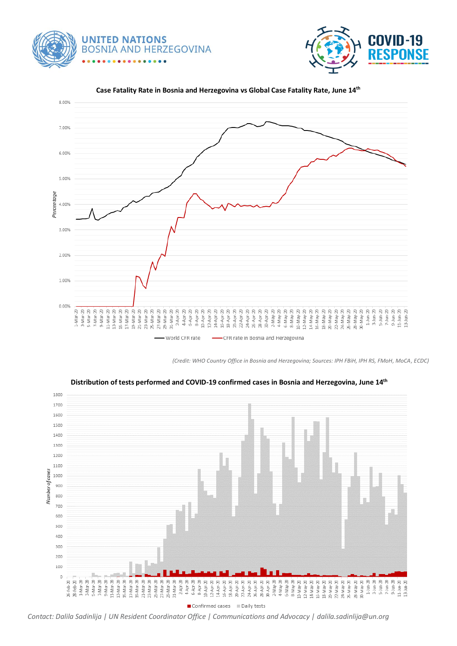





#### **Case Fatality Rate in Bosnia and Herzegovina vs Global Case Fatality Rate, June 14th**

*(Credit: WHO Country Office in Bosnia and Herzegovina; Sources: IPH FBiH, IPH RS, FMoH, MoCA, ECDC)*



**Distribution of tests performed and COVID-19 confirmed cases in Bosnia and Herzegovina, June 14th**

Confirmed cases *Contact: Dalila Sadinlija | UN Resident Coordinator Office | Communications and Advocacy | dalila.sadinlija@un.org*

■ Daily tests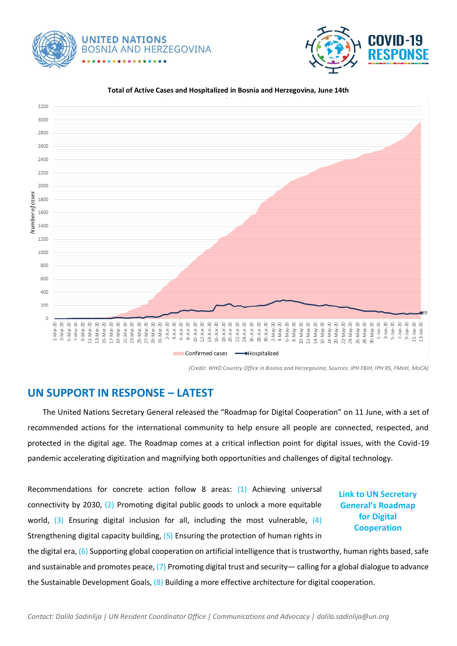**UNITED NATIONS BOSNIA AND HERZEGOVINA** 



#### 3200 3000 2800 2600 2400 2200 2000 Number of cases 1800 1600 1400 1200 1000 800 600 400 200  $\mathbf 0$ 14 May 20<br>16-May 20<br>18-May 20<br>20-May 20  $\begin{array}{l} 27. \, \text{M\,m\,} \cdot 20 \\ 20. \, \text{M\,m\,} \cdot 20 \\ 24. \, \text{M\,m\,} \cdot 20 \\ 25. \, \text{M\,m\,} \cdot 20 \\ 25. \, \text{M\,m\,} \cdot 20 \\ 25. \, \text{M\,m\,} \cdot 20 \\ 25. \, \text{M\,m\,} \cdot 20 \\ 25. \, \text{M\,m\,} \cdot 20 \\ 25. \, \text{M\,m\,} \cdot 20 \\ 25. \, \text{M\,m\,$ 22-May 20<br>24-May 20<br>26-May 20<br>28-May 20 28-Apr-20<br>30-Apr-20  $4-Ma+20$ 10-May-20<br>12-May-20 30-May-20<br>1-Jun-20  $3 - 1$ un- $20$  $\begin{array}{c}\n5 - \text{J} \text{u} \text{n} - 20 \\
7 - \text{J} \text{u} \text{n} - 20\n\end{array}$  $9 - J$ un- $20$ នុ នុ Ŗ នុ នុ នុ នុ  $7 - M$ ar-20  $2 - M a y - 20$ 6-May-20 8-May-20 11-Jun-2<br>13-Jun-2 1-Mar-3-Mar-2 5-Mar-9-Mar-11-Mar- $5-1$ un- $2$ Confirmed cases →Hospitalized  $\overline{\phantom{a}}$

**Total of Active Cases and Hospitalized in Bosnia and Herzegovina, June 14th**

*(Credit: WHO Country Office in Bosnia and Herzegovina; Sources: IPH FBiH, IPH RS, FMoH, MoCA)*

## **UN SUPPORT IN RESPONSE – LATEST**

 The United Nations Secretary General released the "Roadmap for Digital Cooperation" on 11 June, with a set of recommended actions for the international community to help ensure all people are connected, respected, and protected in the digital age. The Roadmap comes at a critical inflection point for digital issues, with the Covid-19 pandemic accelerating digitization and magnifying both opportunities and challenges of digital technology.

Recommendations for concrete action follow 8 areas: (1) Achieving universal connectivity by 2030, (2) Promoting digital public goods to unlock a more equitable world,  $(3)$  Ensuring digital inclusion for all, including the most vulnerable,  $(4)$ Strengthening digital capacity building, (5) Ensuring the protection of human rights in

**Link to [UN Secretary](https://www.un.org/en/content/digital-cooperation-roadmap/)  General['s Roadmap](https://www.un.org/en/content/digital-cooperation-roadmap/)  [for Digital](https://www.un.org/en/content/digital-cooperation-roadmap/)  [Cooperation](https://www.un.org/en/content/digital-cooperation-roadmap/)**

the digital era, (6) Supporting global cooperation on artificial intelligence that is trustworthy, human rights based, safe and sustainable and promotes peace,  $(7)$  Promoting digital trust and security— calling for a global dialogue to advance the Sustainable Development Goals, (8) Building a more effective architecture for digital cooperation.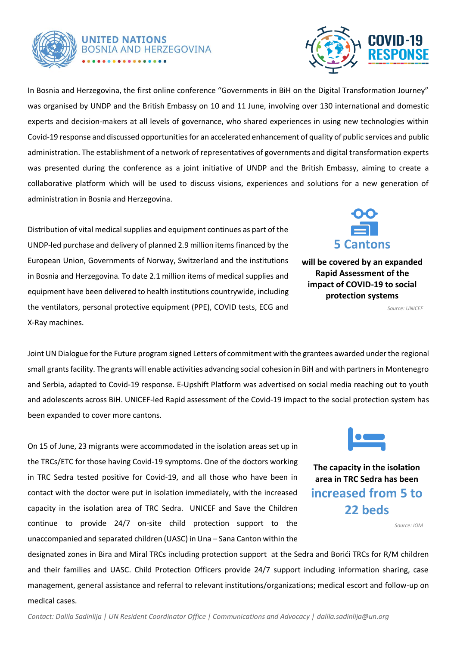

# **UNITED NATIONS BOSNIA AND HERZEGOVINA**



In Bosnia and Herzegovina, the first online conference "Governments in BiH on the Digital Transformation Journey" was organised by UNDP and the British Embassy on 10 and 11 June, involving over 130 international and domestic experts and decision-makers at all levels of governance, who shared experiences in using new technologies within Covid-19 response and discussed opportunities for an accelerated enhancement of quality of public services and public administration. The establishment of a network of representatives of governments and digital transformation experts was presented during the conference as a joint initiative of UNDP and the British Embassy, aiming to create a collaborative platform which will be used to discuss visions, experiences and solutions for a new generation of administration in Bosnia and Herzegovina.

Distribution of vital medical supplies and equipment continues as part of the UNDP-led purchase and delivery of planned 2.9 million items financed by the European Union, Governments of Norway, Switzerland and the institutions in Bosnia and Herzegovina. To date 2.1 million items of medical supplies and equipment have been delivered to health institutions countrywide, including the ventilators, personal protective equipment (PPE), COVID tests, ECG and X-Ray machines.

**5 Cantons**

**will be covered by an expanded Rapid Assessment of the impact of COVID-19 to social protection systems** 

*Source: UNICEF*

Joint UN Dialogue for the Future program signed Letters of commitment with the grantees awarded under the regional small grants facility. The grants will enable activities advancing social cohesion in BiH and with partners in Montenegro and Serbia, adapted to Covid-19 response. E-Upshift Platform was advertised on social media reaching out to youth and adolescents across BiH. UNICEF-led Rapid assessment of the Covid-19 impact to the social protection system has been expanded to cover more cantons. workspace).

On 15 of June, 23 migrants were accommodated in the isolation areas set up in the TRCs/ETC for those having Covid-19 symptoms. One of the doctors working in TRC Sedra tested positive for Covid-19, and all those who have been in contact with the doctor were put in isolation immediately, with the increased capacity in the isolation area of TRC Sedra. UNICEF and Save the Children continue to provide 24/7 on-site child protection support to the unaccompanied and separated children (UASC) in Una – Sana Canton within the



**The capacity in the isolation area in TRC Sedra has been increased from 5 to 22 beds**

*Source: IOM*

designated zones in Bira and Miral TRCs including protection support at the Sedra and Borići TRCs for R/M children and their families and UASC. Child Protection Officers provide 24/7 support including information sharing, case management, general assistance and referral to relevant institutions/organizations; medical escort and follow-up on medical cases.